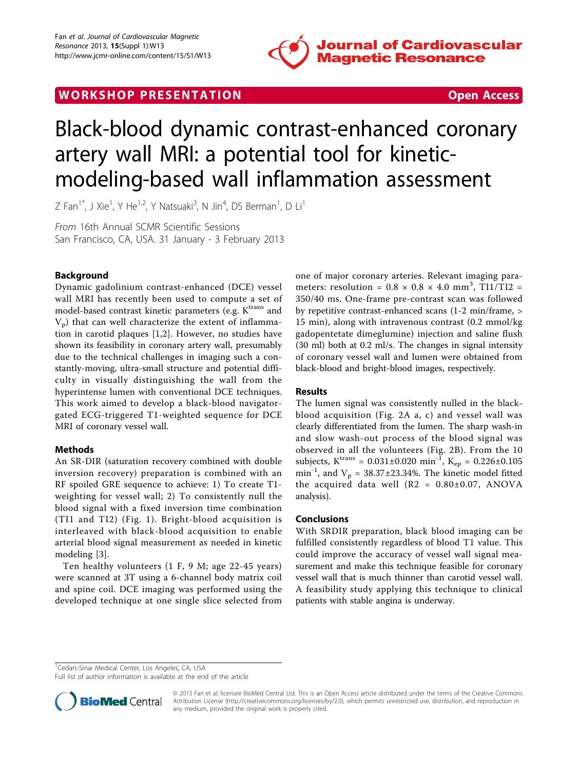

# WORK SHOP PRESENTATION **WORK SHOP PRESENTATION**

# Black-blood dynamic contrast-enhanced coronary artery wall MRI: a potential tool for kineticmodeling-based wall inflammation assessment

Z Fan $^1$ \*, J Xie $^1$ , Y He $^{1,2}$ , Y Natsuaki $^3$ , N Jin $^4$ , DS Berman $^1$ , D Li $^1$ 

From 16th Annual SCMR Scientific Sessions San Francisco, CA, USA. 31 January - 3 February 2013

## Background

Dynamic gadolinium contrast-enhanced (DCE) vessel wall MRI has recently been used to compute a set of model-based contrast kinetic parameters (e.g.  $K<sup>trans</sup>$  and  $V<sub>p</sub>$ ) that can well characterize the extent of inflammation in carotid plaques [1,2]. However, no studies have shown its feasibility in coronary artery wall, presumably due to the technical challenges in imaging such a constantly-moving, ultra-small structure and potential difficulty in visually distinguishing the wall from the hyperintense lumen with conventional DCE techniques. This work aimed to develop a black-blood navigatorgated ECG-triggered T1-weighted sequence for DCE MRI of coronary vessel wall.

#### Methods

An SR-DIR (saturation recovery combined with double inversion recovery) preparation is combined with an RF spoiled GRE sequence to achieve: 1) To create T1 weighting for vessel wall; 2) To consistently null the blood signal with a fixed inversion time combination (TI1 and TI2) (Fig. [1\)](#page-1-0). Bright-blood acquisition is interleaved with black-blood acquisition to enable arterial blood signal measurement as needed in kinetic modeling [3].

Ten healthy volunteers (1 F, 9 M; age 22-45 years) were scanned at 3T using a 6-channel body matrix coil and spine coil. DCE imaging was performed using the developed technique at one single slice selected from one of major coronary arteries. Relevant imaging parameters: resolution =  $0.8 \times 0.8 \times 4.0$  mm<sup>3</sup>, TI1/TI2 = 350/40 ms. One-frame pre-contrast scan was followed by repetitive contrast-enhanced scans (1-2 min/frame, > 15 min), along with intravenous contrast (0.2 mmol/kg gadopentetate dimeglumine) injection and saline flush (30 ml) both at 0.2 ml/s. The changes in signal intensity of coronary vessel wall and lumen were obtained from black-blood and bright-blood images, respectively.

### Results

The lumen signal was consistently nulled in the blackblood acquisition (Fig. [2A a, c](#page-1-0)) and vessel wall was clearly differentiated from the lumen. The sharp wash-in and slow wash-out process of the blood signal was observed in all the volunteers (Fig. [2B](#page-1-0)). From the 10 subjects,  $K^{trans} = 0.031 \pm 0.020$  min<sup>-1</sup>,  $K_{ep} = 0.226 \pm 0.105$ min<sup>-1</sup>, and  $V_p = 38.37 \pm 23.34\%$ . The kinetic model fitted the acquired data well  $(R2 = 0.80 \pm 0.07, ANOVA)$ analysis).

#### Conclusions

With SRDIR preparation, black blood imaging can be fulfilled consistently regardless of blood T1 value. This could improve the accuracy of vessel wall signal measurement and make this technique feasible for coronary vessel wall that is much thinner than carotid vessel wall. A feasibility study applying this technique to clinical patients with stable angina is underway.

<sup>1</sup>Cedars-Sinai Medical Center, Los Angeles, CA, USA

Full list of author information is available at the end of the article



© 2013 Fan et al; licensee BioMed Central Ltd. This is an Open Access article distributed under the terms of the Creative Commons Attribution License [\(http://creativecommons.org/licenses/by/2.0](http://creativecommons.org/licenses/by/2.0)), which permits unrestricted use, distribution, and reproduction in any medium, provided the original work is properly cited.